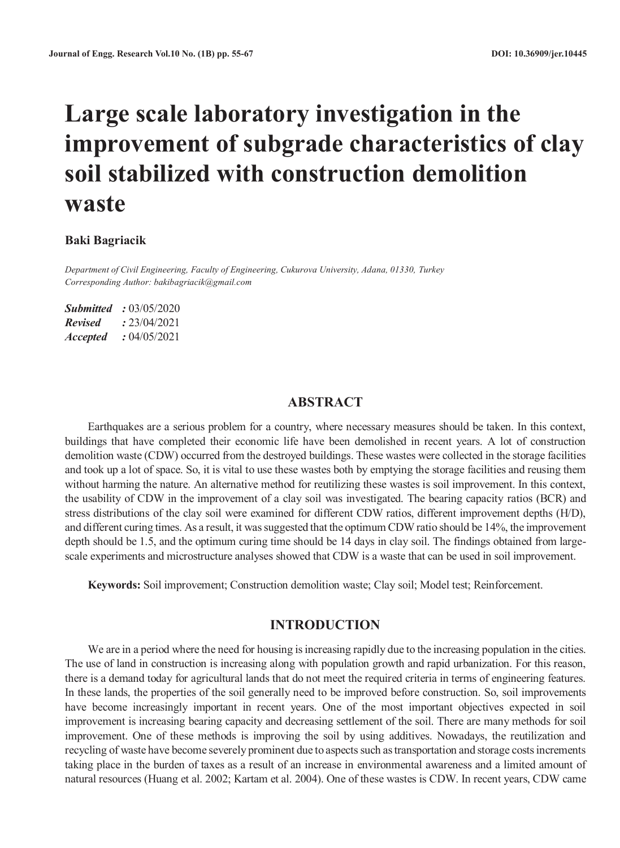# **Large scale laboratory investigation in the improvement of subgrade characteristics of clay soil stabilized with construction demolition waste**

#### **Baki Bagriacik**

*Department of Civil Engineering, Faculty of Engineering, Cukurova University, Adana, 01330, Turkey Corresponding Author: bakibagriacik@gmail.com*

*Submitted :* 03/05/2020 *Revised :* 23/04/2021 *Accepted :* 04/05/2021

#### **ABSTRACT**

Earthquakes are a serious problem for a country, where necessary measures should be taken. In this context, buildings that have completed their economic life have been demolished in recent years. A lot of construction demolition waste (CDW) occurred from the destroyed buildings. These wastes were collected in the storage facilities and took up a lot of space. So, it is vital to use these wastes both by emptying the storage facilities and reusing them without harming the nature. An alternative method for reutilizing these wastes is soil improvement. In this context, the usability of CDW in the improvement of a clay soil was investigated. The bearing capacity ratios (BCR) and stress distributions of the clay soil were examined for different CDW ratios, different improvement depths (H/D), and different curing times. As a result, it was suggested that the optimum CDW ratio should be 14%, the improvement depth should be 1.5, and the optimum curing time should be 14 days in clay soil. The findings obtained from largescale experiments and microstructure analyses showed that CDW is a waste that can be used in soil improvement.

**Keywords:** Soil improvement; Construction demolition waste; Clay soil; Model test; Reinforcement.

#### **INTRODUCTION**

We are in a period where the need for housing is increasing rapidly due to the increasing population in the cities. The use of land in construction is increasing along with population growth and rapid urbanization. For this reason, there is a demand today for agricultural lands that do not meet the required criteria in terms of engineering features. In these lands, the properties of the soil generally need to be improved before construction. So, soil improvements have become increasingly important in recent years. One of the most important objectives expected in soil improvement is increasing bearing capacity and decreasing settlement of the soil. There are many methods for soil improvement. One of these methods is improving the soil by using additives. Nowadays, the reutilization and recycling of waste have become severely prominent due to aspects such as transportation and storage costs increments taking place in the burden of taxes as a result of an increase in environmental awareness and a limited amount of natural resources (Huang et al. 2002; Kartam et al. 2004). One of these wastes is CDW. In recent years, CDW came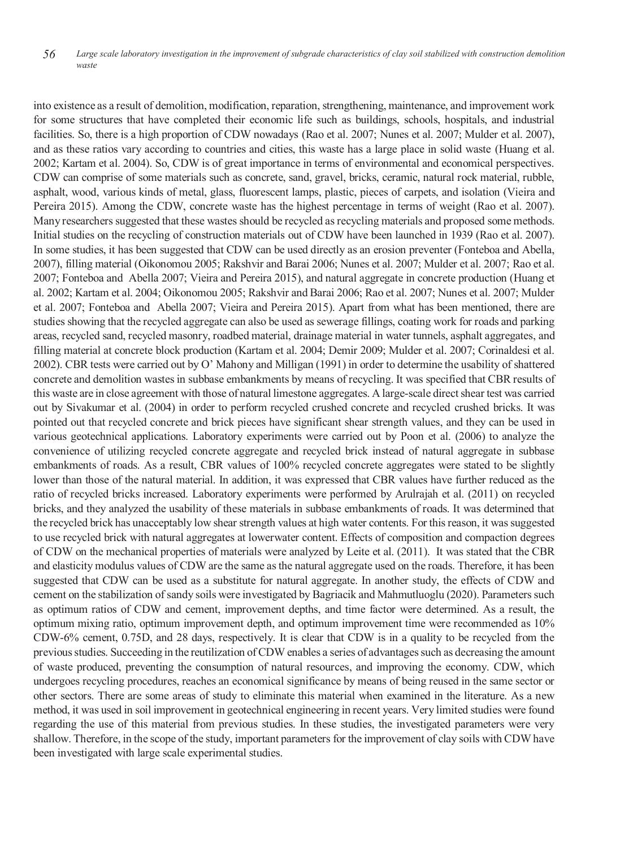into existence as a result of demolition, modification, reparation, strengthening, maintenance, and improvement work for some structures that have completed their economic life such as buildings, schools, hospitals, and industrial facilities. So, there is a high proportion of CDW nowadays (Rao et al. 2007; Nunes et al. 2007; Mulder et al. 2007), and as these ratios vary according to countries and cities, this waste has a large place in solid waste (Huang et al. 2002; Kartam et al. 2004). So, CDW is of great importance in terms of environmental and economical perspectives. CDW can comprise of some materials such as concrete, sand, gravel, bricks, ceramic, natural rock material, rubble, asphalt, wood, various kinds of metal, glass, fluorescent lamps, plastic, pieces of carpets, and isolation (Vieira and Pereira 2015). Among the CDW, concrete waste has the highest percentage in terms of weight (Rao et al. 2007). Many researchers suggested that these wastes should be recycled as recycling materials and proposed some methods. Initial studies on the recycling of construction materials out of CDW have been launched in 1939 (Rao et al. 2007). In some studies, it has been suggested that CDW can be used directly as an erosion preventer (Fonteboa and Abella, 2007), filling material (Oikonomou 2005; Rakshvir and Barai 2006; Nunes et al. 2007; Mulder et al. 2007; Rao et al. 2007; Fonteboa and Abella 2007; Vieira and Pereira 2015), and natural aggregate in concrete production (Huang et al. 2002; Kartam et al. 2004; Oikonomou 2005; Rakshvir and Barai 2006; Rao et al. 2007; Nunes et al. 2007; Mulder et al. 2007; Fonteboa and Abella 2007; Vieira and Pereira 2015). Apart from what has been mentioned, there are studies showing that the recycled aggregate can also be used as sewerage fillings, coating work for roads and parking areas, recycled sand, recycled masonry, roadbed material, drainage material in water tunnels, asphalt aggregates, and filling material at concrete block production (Kartam et al. 2004; Demir 2009; Mulder et al. 2007; Corinaldesi et al. 2002). CBR tests were carried out by O' Mahony and Milligan (1991) in order to determine the usability of shattered concrete and demolition wastes in subbase embankments by means of recycling. It was specified that CBR results of this waste are in close agreement with those of natural limestone aggregates. A large-scale direct shear test was carried out by Sivakumar et al. (2004) in order to perform recycled crushed concrete and recycled crushed bricks. It was pointed out that recycled concrete and brick pieces have significant shear strength values, and they can be used in various geotechnical applications. Laboratory experiments were carried out by Poon et al. (2006) to analyze the convenience of utilizing recycled concrete aggregate and recycled brick instead of natural aggregate in subbase embankments of roads. As a result, CBR values of 100% recycled concrete aggregates were stated to be slightly lower than those of the natural material. In addition, it was expressed that CBR values have further reduced as the ratio of recycled bricks increased. Laboratory experiments were performed by Arulrajah et al. (2011) on recycled bricks, and they analyzed the usability of these materials in subbase embankments of roads. It was determined that the recycled brick has unacceptably low shear strength values at high water contents. For thisreason, it was suggested to use recycled brick with natural aggregates at lowerwater content. Effects of composition and compaction degrees of CDW on the mechanical properties of materials were analyzed by Leite et al. (2011). It was stated that the CBR and elasticity modulus values of CDW are the same as the natural aggregate used on the roads. Therefore, it has been suggested that CDW can be used as a substitute for natural aggregate. In another study, the effects of CDW and cement on the stabilization of sandy soils were investigated by Bagriacik and Mahmutluoglu (2020). Parameters such as optimum ratios of CDW and cement, improvement depths, and time factor were determined. As a result, the optimum mixing ratio, optimum improvement depth, and optimum improvement time were recommended as 10% CDW-6% cement, 0.75D, and 28 days, respectively. It is clear that CDW is in a quality to be recycled from the previous studies. Succeeding in the reutilization of CDW enables a series of advantages such as decreasing the amount of waste produced, preventing the consumption of natural resources, and improving the economy. CDW, which undergoes recycling procedures, reaches an economical significance by means of being reused in the same sector or other sectors. There are some areas of study to eliminate this material when examined in the literature. As a new method, it was used in soil improvement in geotechnical engineering in recent years. Very limited studies were found regarding the use of this material from previous studies. In these studies, the investigated parameters were very shallow. Therefore, in the scope of the study, important parameters for the improvement of clay soils with CDW have been investigated with large scale experimental studies.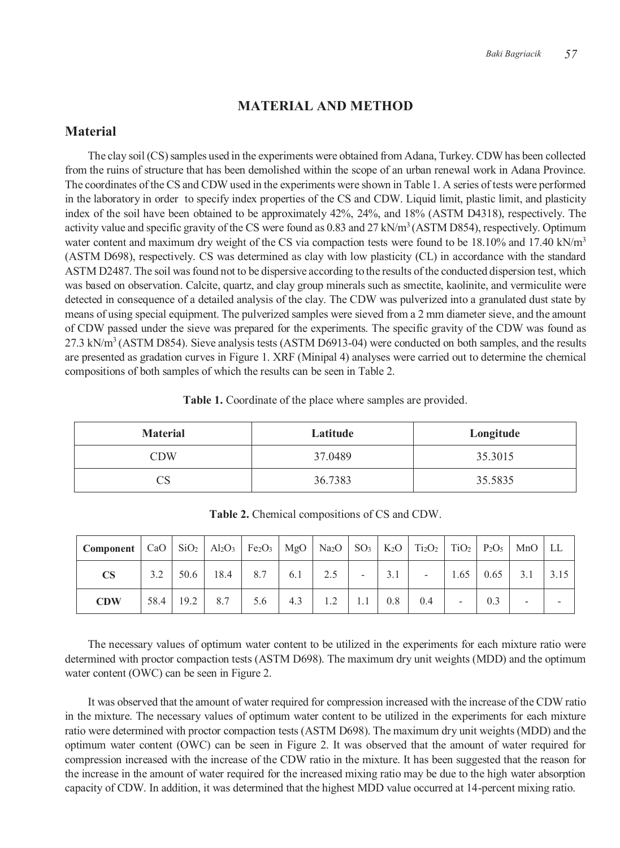# **MATERIAL AND METHOD**

# **Material**

The clay soil (CS) samples used in the experiments were obtained from Adana, Turkey. CDW has been collected from the ruins of structure that has been demolished within the scope of an urban renewal work in Adana Province. The coordinates of the CS and CDW used in the experiments were shown in Table 1. A series of tests were performed in the laboratory in order to specify index properties of the CS and CDW. Liquid limit, plastic limit, and plasticity index of the soil have been obtained to be approximately 42%, 24%, and 18% (ASTM D4318), respectively. The activity value and specific gravity of the CS were found as 0.83 and 27 kN/m<sup>3</sup> (ASTM D854), respectively. Optimum water content and maximum dry weight of the CS via compaction tests were found to be 18.10% and 17.40 kN/m<sup>3</sup> (ASTM D698), respectively. CS was determined as clay with low plasticity (CL) in accordance with the standard ASTM D2487. The soil was found not to be dispersive according to the results of the conducted dispersion test, which was based on observation. Calcite, quartz, and clay group minerals such as smectite, kaolinite, and vermiculite were detected in consequence of a detailed analysis of the clay. The CDW was pulverized into a granulated dust state by means of using special equipment. The pulverized samples were sieved from a 2 mm diameter sieve, and the amount of CDW passed under the sieve was prepared for the experiments. The specific gravity of the CDW was found as 27.3 kN/m<sup>3</sup> (ASTM D854). Sieve analysis tests (ASTM D6913-04) were conducted on both samples, and the results are presented as gradation curves in Figure 1. XRF (Minipal 4) analyses were carried out to determine the chemical compositions of both samples of which the results can be seen in Table 2.

|  |  | Table 1. Coordinate of the place where samples are provided. |
|--|--|--------------------------------------------------------------|
|--|--|--------------------------------------------------------------|

| <b>Material</b> | Latitude | Longitude |  |  |  |
|-----------------|----------|-----------|--|--|--|
| <b>CDW</b>      | 37.0489  | 35.3015   |  |  |  |
|                 | 36.7383  | 35.5835   |  |  |  |

| Component   CaO   SiO <sub>2</sub>   Al <sub>2</sub> O <sub>3</sub>   Fe <sub>2</sub> O <sub>3</sub>   MgO   Na <sub>2</sub> O   SO <sub>3</sub>   K <sub>2</sub> O   Ti <sub>2</sub> O <sub>2</sub>   TiO <sub>2</sub>   P <sub>2</sub> O <sub>5</sub>   MnO   LL |  |                   |                                 |     |     |                          |     |           |     |                      |  |
|--------------------------------------------------------------------------------------------------------------------------------------------------------------------------------------------------------------------------------------------------------------------|--|-------------------|---------------------------------|-----|-----|--------------------------|-----|-----------|-----|----------------------|--|
| <b>CS</b>                                                                                                                                                                                                                                                          |  |                   | $3.2$   50.6   18.4   8.7   6.1 |     | 2.5 | $\overline{\phantom{a}}$ | 3.1 | $\sim$    |     | $1.65$ 0.65 3.1 3.15 |  |
| <b>CDW</b>                                                                                                                                                                                                                                                         |  | 58.4   19.2   8.7 | 5.6                             | 4.3 | 1.2 | 1.1                      |     | $0.8$ 0.4 | 0.3 |                      |  |

**Table 2.** Chemical compositions of CS and CDW.

The necessary values of optimum water content to be utilized in the experiments for each mixture ratio were determined with proctor compaction tests (ASTM D698). The maximum dry unit weights (MDD) and the optimum water content (OWC) can be seen in Figure 2.

It was observed that the amount of water required for compression increased with the increase of the CDW ratio in the mixture. The necessary values of optimum water content to be utilized in the experiments for each mixture ratio were determined with proctor compaction tests (ASTM D698). The maximum dry unit weights (MDD) and the optimum water content (OWC) can be seen in Figure 2. It was observed that the amount of water required for compression increased with the increase of the CDW ratio in the mixture. It has been suggested that the reason for the increase in the amount of water required for the increased mixing ratio may be due to the high water absorption capacity of CDW. In addition, it was determined that the highest MDD value occurred at 14-percent mixing ratio.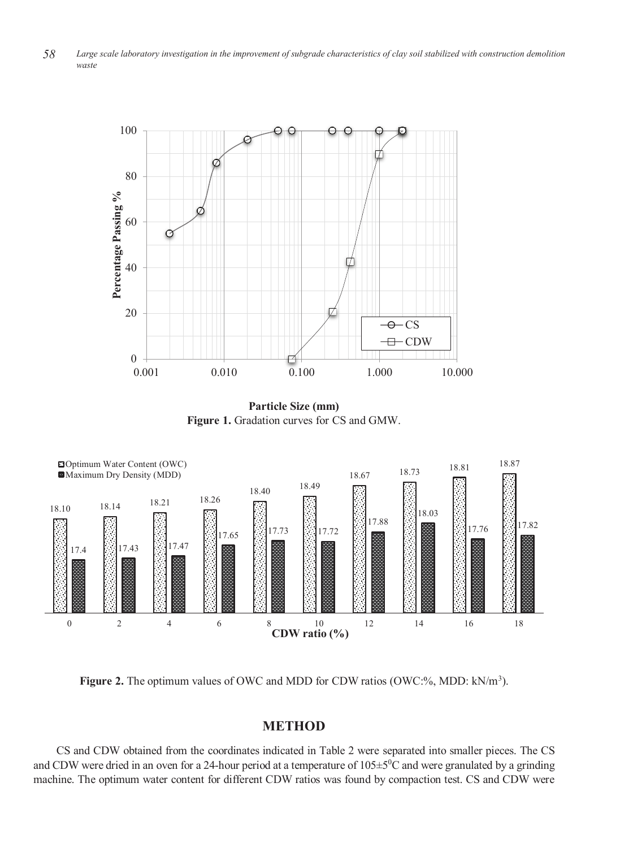

**Particle Size (mm) Figure 1.** Gradation curves for CS and GMW.



Figure 2. The optimum values of OWC and MDD for CDW ratios (OWC:%, MDD: kN/m<sup>3</sup>).

### **METHOD**

CS and CDW obtained from the coordinates indicated in Table 2 were separated into smaller pieces. The CS and CDW were dried in an oven for a 24-hour period at a temperature of  $105 \pm 5^0$ C and were granulated by a grinding machine. The optimum water content for different CDW ratios was found by compaction test. CS and CDW were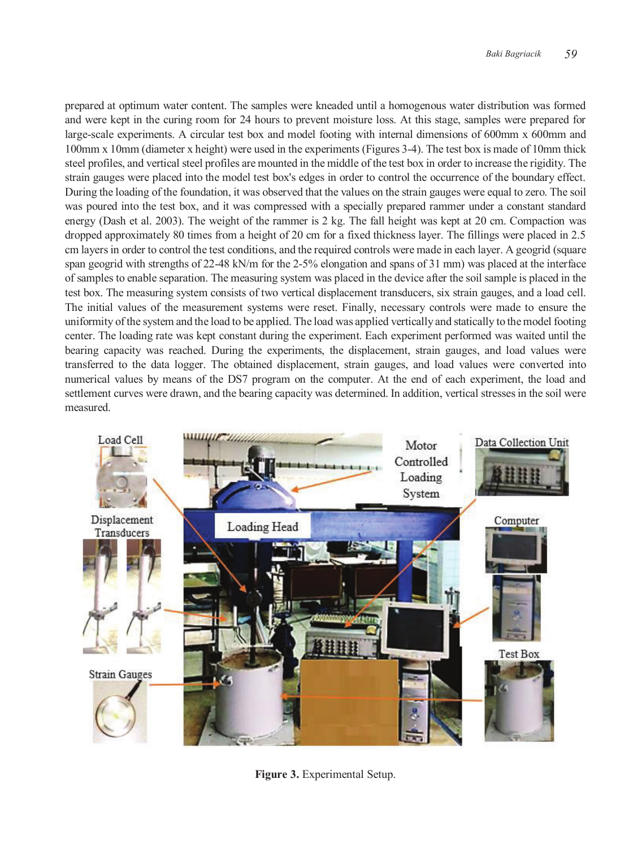prepared at optimum water content. The samples were kneaded until a homogenous water distribution was formed and were kept in the curing room for 24 hours to prevent moisture loss. At this stage, samples were prepared for large-scale experiments. A circular test box and model footing with internal dimensions of 600mm x 600mm and 100mm x 10mm (diameter x height) were used in the experiments (Figures 3-4). The test box is made of 10mm thick steel profiles, and vertical steel profiles are mounted in the middle of the test box in order to increase the rigidity. The strain gauges were placed into the model test box's edges in order to control the occurrence of the boundary effect. During the loading of the foundation, it was observed that the values on the strain gauges were equal to zero. The soil was poured into the test box, and it was compressed with a specially prepared rammer under a constant standard energy (Dash et al. 2003). The weight of the rammer is 2 kg. The fall height was kept at 20 cm. Compaction was dropped approximately 80 times from a height of 20 cm for a fixed thickness layer. The fillings were placed in 2.5 cm layers in order to control the test conditions, and the required controls were made in each layer. A geogrid (square span geogrid with strengths of 22-48 kN/m for the 2-5% elongation and spans of 31 mm) was placed at the interface of samples to enable separation. The measuring system was placed in the device after the soil sample is placed in the test box. The measuring system consists of two vertical displacement transducers, six strain gauges, and a load cell. The initial values of the measurement systems were reset. Finally, necessary controls were made to ensure the uniformity of the system and the load to be applied. The load was applied vertically and statically to the model footing center. The loading rate was kept constant during the experiment. Each experiment performed was waited until the bearing capacity was reached. During the experiments, the displacement, strain gauges, and load values were transferred to the data logger. The obtained displacement, strain gauges, and load values were converted into numerical values by means of the DS7 program on the computer. At the end of each experiment, the load and settlement curves were drawn, and the bearing capacity was determined. In addition, vertical stresses in the soil were measured.



**Figure 3.** Experimental Setup.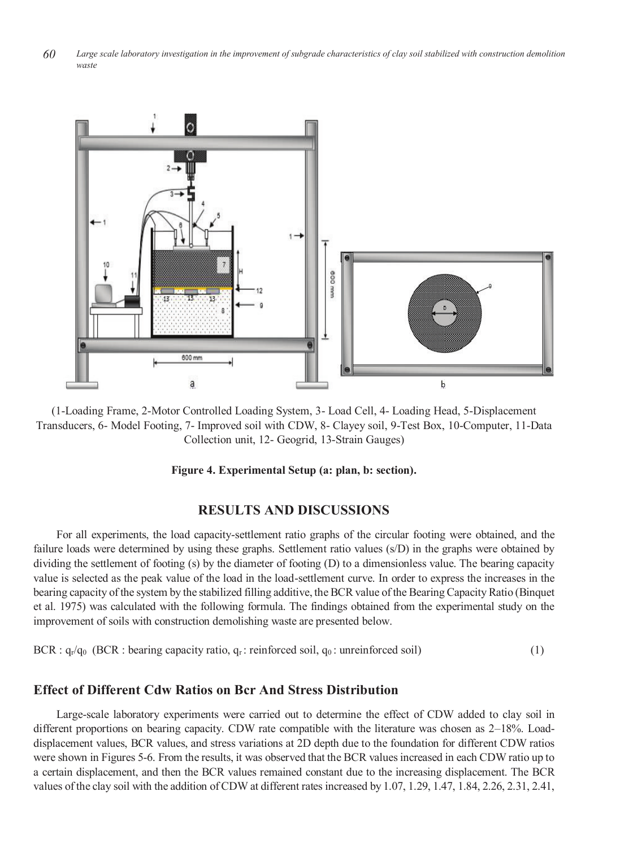*60 Large scale laboratory investigation in the improvement of subgrade characteristics of clay soil stabilized with construction demolition waste*



(1-Loading Frame, 2-Motor Controlled Loading System, 3- Load Cell, 4- Loading Head, 5-Displacement Transducers, 6- Model Footing, 7- Improved soil with CDW, 8- Clayey soil, 9-Test Box, 10-Computer, 11-Data Collection unit, 12- Geogrid, 13-Strain Gauges)

#### **Figure 4. Experimental Setup (a: plan, b: section).**

#### **RESULTS AND DISCUSSIONS**

For all experiments, the load capacity-settlement ratio graphs of the circular footing were obtained, and the failure loads were determined by using these graphs. Settlement ratio values (s/D) in the graphs were obtained by dividing the settlement of footing (s) by the diameter of footing (D) to a dimensionless value. The bearing capacity value is selected as the peak value of the load in the load-settlement curve. In order to express the increases in the bearing capacity of the system by the stabilized filling additive, the BCR value of the Bearing Capacity Ratio (Binquet et al. 1975) was calculated with the following formula. The findings obtained from the experimental study on the improvement of soils with construction demolishing waste are presented below.

$$
BCR: q_r/q_0 \text{ (BCR: bearing capacity ratio, } q_r \text{ : reinforced soil, } q_0 \text{ : unreinforced soil)}
$$
 (1)

#### **Effect of Different Cdw Ratios on Bcr And Stress Distribution**

Large-scale laboratory experiments were carried out to determine the effect of CDW added to clay soil in different proportions on bearing capacity. CDW rate compatible with the literature was chosen as 2–18%. Loaddisplacement values, BCR values, and stress variations at 2D depth due to the foundation for different CDW ratios were shown in Figures 5-6. From the results, it was observed that the BCR values increased in each CDW ratio up to a certain displacement, and then the BCR values remained constant due to the increasing displacement. The BCR values of the clay soil with the addition of CDW at different rates increased by 1.07, 1.29, 1.47, 1.84, 2.26, 2.31, 2.41,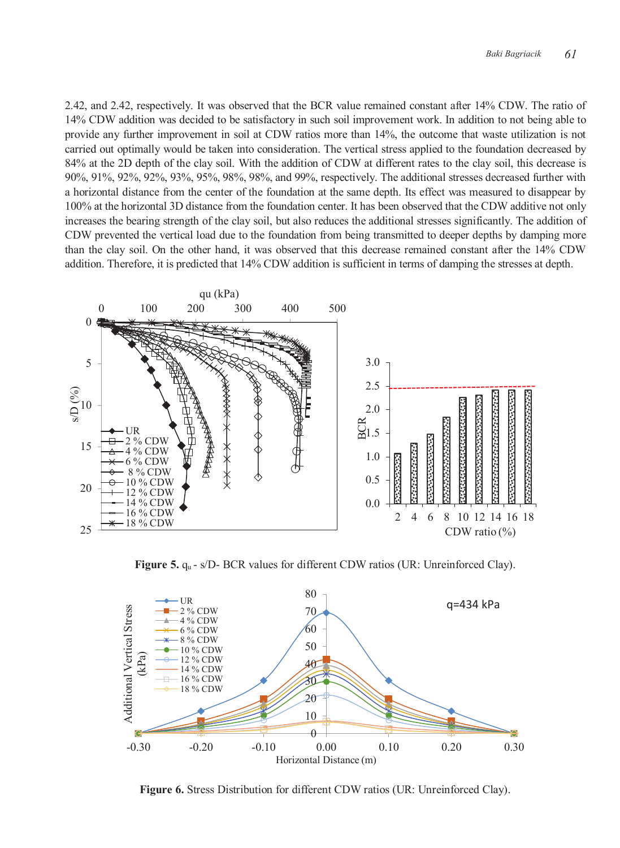2.42, and 2.42, respectively. It was observed that the BCR value remained constant after 14% CDW. The ratio of 14% CDW addition was decided to be satisfactory in such soil improvement work. In addition to not being able to provide any further improvement in soil at CDW ratios more than 14%, the outcome that waste utilization is not carried out optimally would be taken into consideration. The vertical stress applied to the foundation decreased by 84% at the 2D depth of the clay soil. With the addition of CDW at different rates to the clay soil, this decrease is 90%, 91%, 92%, 92%, 93%, 95%, 98%, 98%, and 99%, respectively. The additional stresses decreased further with a horizontal distance from the center of the foundation at the same depth. Its effect was measured to disappear by 100% at the horizontal 3D distance from the foundation center. It has been observed that the CDW additive not only increases the bearing strength of the clay soil, but also reduces the additional stresses significantly. The addition of CDW prevented the vertical load due to the foundation from being transmitted to deeper depths by damping more than the clay soil. On the other hand, it was observed that this decrease remained constant after the 14% CDW addition. Therefore, it is predicted that 14% CDW addition is sufficient in terms of damping the stresses at depth.



**Figure 5.**  $q_u$  - s/D- BCR values for different CDW ratios (UR: Unreinforced Clay).



**Figure 6.** Stress Distribution for different CDW ratios (UR: Unreinforced Clay).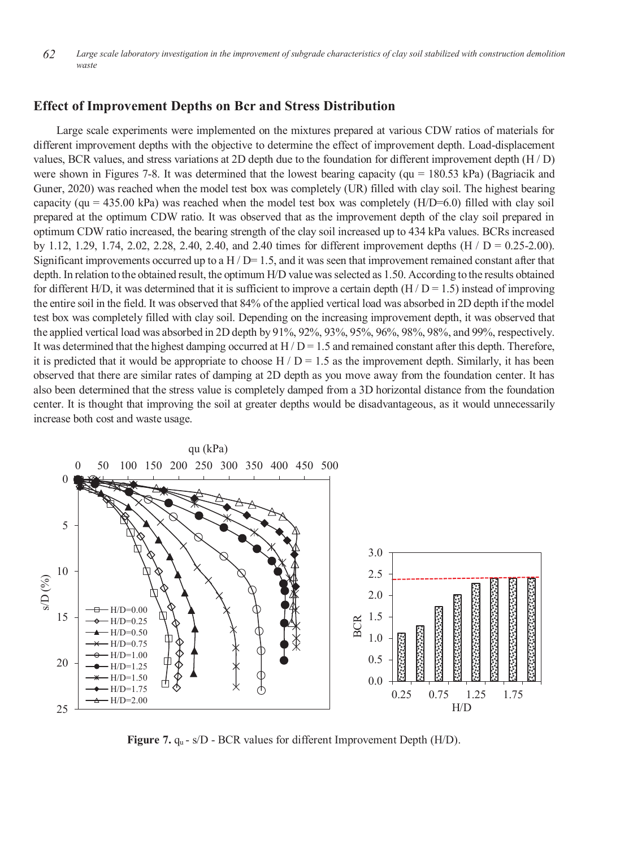*62 Large scale laboratory investigation in the improvement of subgrade characteristics of clay soil stabilized with construction demolition waste*

#### **Effect of Improvement Depths on Bcr and Stress Distribution**

Large scale experiments were implemented on the mixtures prepared at various CDW ratios of materials for different improvement depths with the objective to determine the effect of improvement depth. Load-displacement values, BCR values, and stress variations at 2D depth due to the foundation for different improvement depth (H / D) were shown in Figures 7-8. It was determined that the lowest bearing capacity (qu = 180.53 kPa) (Bagriacik and Guner, 2020) was reached when the model test box was completely (UR) filled with clay soil. The highest bearing capacity (qu = 435.00 kPa) was reached when the model test box was completely  $(H/D=6.0)$  filled with clay soil prepared at the optimum CDW ratio. It was observed that as the improvement depth of the clay soil prepared in optimum CDW ratio increased, the bearing strength of the clay soil increased up to 434 kPa values. BCRs increased by 1.12, 1.29, 1.74, 2.02, 2.28, 2.40, 2.40, and 2.40 times for different improvement depths  $(H / D = 0.25{\text -}2.00)$ . Significant improvements occurred up to a H  $/D=1.5$ , and it was seen that improvement remained constant after that depth. In relation to the obtained result, the optimum H/D value was selected as 1.50. According to the results obtained for different H/D, it was determined that it is sufficient to improve a certain depth  $(H/D = 1.5)$  instead of improving the entire soil in the field. It was observed that 84% of the applied vertical load was absorbed in 2D depth if the model test box was completely filled with clay soil. Depending on the increasing improvement depth, it was observed that the applied vertical load was absorbed in 2D depth by 91%, 92%, 93%, 95%, 96%, 98%, 98%, and 99%, respectively. It was determined that the highest damping occurred at  $H/D = 1.5$  and remained constant after this depth. Therefore, it is predicted that it would be appropriate to choose  $H / D = 1.5$  as the improvement depth. Similarly, it has been observed that there are similar rates of damping at 2D depth as you move away from the foundation center. It has also been determined that the stress value is completely damped from a 3D horizontal distance from the foundation center. It is thought that improving the soil at greater depths would be disadvantageous, as it would unnecessarily increase both cost and waste usage.



**Figure 7.**  $q_u$  - s/D - BCR values for different Improvement Depth (H/D).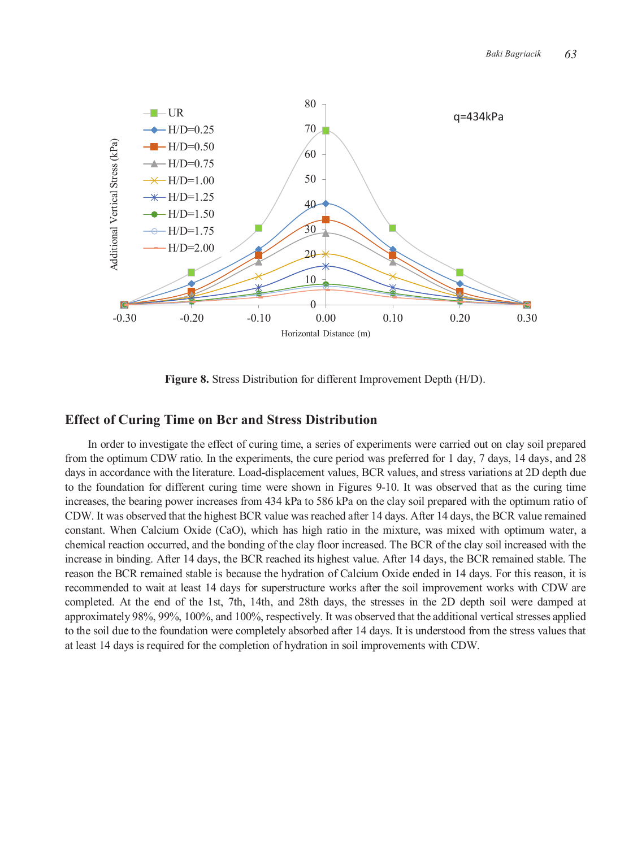

**Figure 8.** Stress Distribution for different Improvement Depth (H/D).

#### **Effect of Curing Time on Bcr and Stress Distribution**

In order to investigate the effect of curing time, a series of experiments were carried out on clay soil prepared from the optimum CDW ratio. In the experiments, the cure period was preferred for 1 day, 7 days, 14 days, and 28 days in accordance with the literature. Load-displacement values, BCR values, and stress variations at 2D depth due to the foundation for different curing time were shown in Figures 9-10. It was observed that as the curing time increases, the bearing power increases from 434 kPa to 586 kPa on the clay soil prepared with the optimum ratio of CDW. It was observed that the highest BCR value was reached after 14 days. After 14 days, the BCR value remained constant. When Calcium Oxide (CaO), which has high ratio in the mixture, was mixed with optimum water, a chemical reaction occurred, and the bonding of the clay floor increased. The BCR of the clay soil increased with the increase in binding. After 14 days, the BCR reached its highest value. After 14 days, the BCR remained stable. The reason the BCR remained stable is because the hydration of Calcium Oxide ended in 14 days. For this reason, it is recommended to wait at least 14 days for superstructure works after the soil improvement works with CDW are completed. At the end of the 1st, 7th, 14th, and 28th days, the stresses in the 2D depth soil were damped at approximately 98%, 99%, 100%, and 100%, respectively. It was observed that the additional vertical stresses applied to the soil due to the foundation were completely absorbed after 14 days. It is understood from the stress values that at least 14 days is required for the completion of hydration in soil improvements with CDW.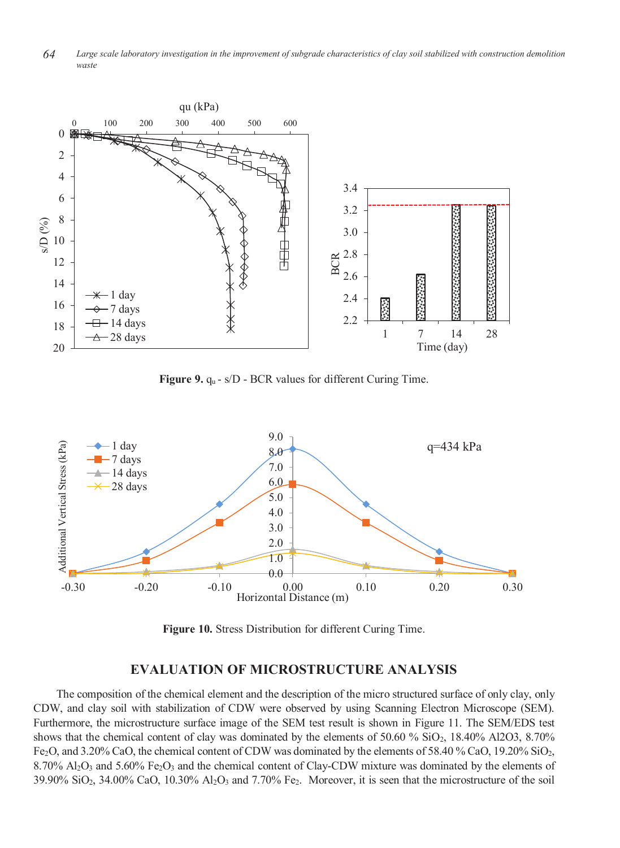*64 Large scale laboratory investigation in the improvement of subgrade characteristics of clay soil stabilized with construction demolition waste*



Figure 9. q<sub>u</sub> - s/D - BCR values for different Curing Time.



**Figure 10.** Stress Distribution for different Curing Time.

#### **EVALUATION OF MICROSTRUCTURE ANALYSIS**

The composition of the chemical element and the description of the micro structured surface of only clay, only CDW, and clay soil with stabilization of CDW were observed by using Scanning Electron Microscope (SEM). Furthermore, the microstructure surface image of the SEM test result is shown in Figure 11. The SEM/EDS test shows that the chemical content of clay was dominated by the elements of 50.60 % SiO2, 18.40% Al2O3, 8.70% Fe2O, and 3.20% CaO, the chemical content of CDW was dominated by the elements of 58.40 % CaO, 19.20% SiO2, 8.70% Al2O3 and 5.60% Fe2O3 and the chemical content of Clay-CDW mixture was dominated by the elements of  $39.90\%$  SiO<sub>2</sub>,  $34.00\%$  CaO,  $10.30\%$  Al<sub>2</sub>O<sub>3</sub> and 7.70% Fe<sub>2</sub>. Moreover, it is seen that the microstructure of the soil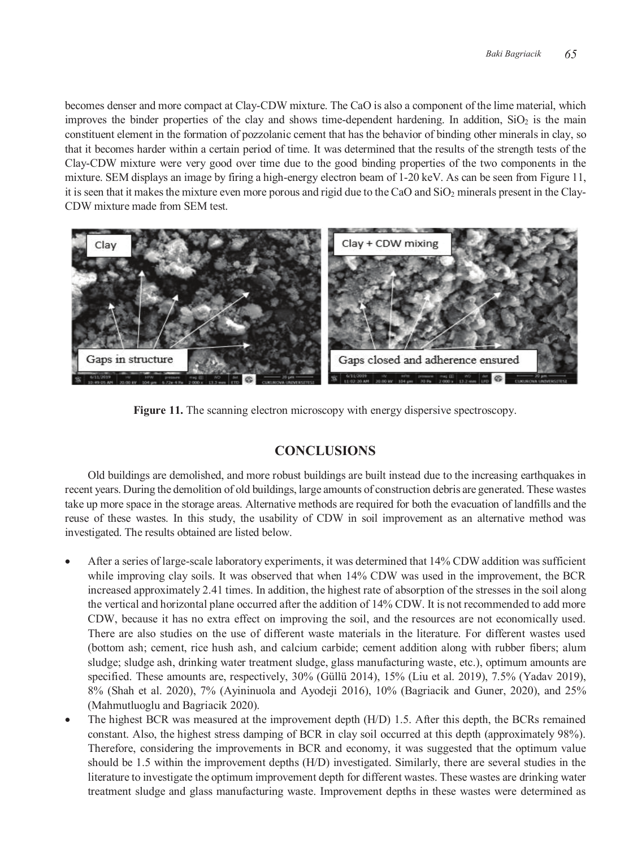becomes denser and more compact at Clay-CDW mixture. The CaO is also a component of the lime material, which improves the binder properties of the clay and shows time-dependent hardening. In addition,  $SiO<sub>2</sub>$  is the main constituent element in the formation of pozzolanic cement that has the behavior of binding other minerals in clay, so that it becomes harder within a certain period of time. It was determined that the results of the strength tests of the Clay-CDW mixture were very good over time due to the good binding properties of the two components in the mixture. SEM displays an image by firing a high-energy electron beam of 1-20 keV. As can be seen from Figure 11, it is seen that it makes the mixture even more porous and rigid due to the CaO and  $SiO<sub>2</sub>$  minerals present in the Clay-CDW mixture made from SEM test.



Figure 11. The scanning electron microscopy with energy dispersive spectroscopy.

# **CONCLUSIONS**

Old buildings are demolished, and more robust buildings are built instead due to the increasing earthquakes in recent years. During the demolition of old buildings, large amounts of construction debris are generated. These wastes take up more space in the storage areas. Alternative methods are required for both the evacuation of landfills and the reuse of these wastes. In this study, the usability of CDW in soil improvement as an alternative method was investigated. The results obtained are listed below.

- After a series of large-scale laboratory experiments, it was determined that 14% CDW addition was sufficient while improving clay soils. It was observed that when  $14\%$  CDW was used in the improvement, the BCR increased approximately 2.41 times. In addition, the highest rate of absorption of the stresses in the soil along the vertical and horizontal plane occurred after the addition of 14% CDW. It is not recommended to add more CDW, because it has no extra effect on improving the soil, and the resources are not economically used. There are also studies on the use of different waste materials in the literature. For different wastes used (bottom ash; cement, rice hush ash, and calcium carbide; cement addition along with rubber fibers; alum sludge; sludge ash, drinking water treatment sludge, glass manufacturing waste, etc.), optimum amounts are specified. These amounts are, respectively, 30% (Güllü 2014), 15% (Liu et al. 2019), 7.5% (Yadav 2019), 8% (Shah et al. 2020), 7% (Ayininuola and Ayodeji 2016), 10% (Bagriacik and Guner, 2020), and 25% (Mahmutluoglu and Bagriacik 2020).
- The highest BCR was measured at the improvement depth (H/D) 1.5. After this depth, the BCRs remained constant. Also, the highest stress damping of BCR in clay soil occurred at this depth (approximately 98%). Therefore, considering the improvements in BCR and economy, it was suggested that the optimum value should be 1.5 within the improvement depths (H/D) investigated. Similarly, there are several studies in the literature to investigate the optimum improvement depth for different wastes. These wastes are drinking water treatment sludge and glass manufacturing waste. Improvement depths in these wastes were determined as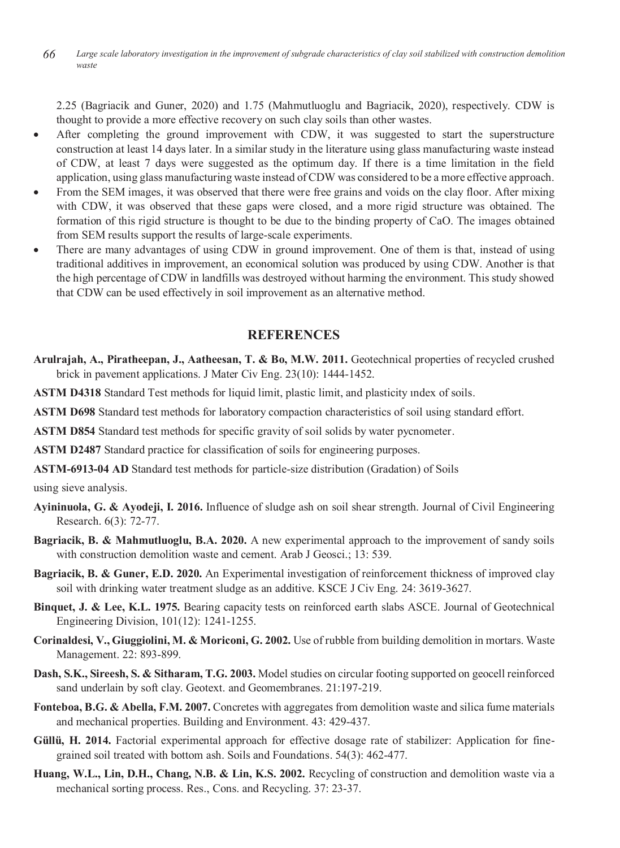*66 Large scale laboratory investigation in the improvement of subgrade characteristics of clay soil stabilized with construction demolition waste*

2.25 (Bagriacik and Guner, 2020) and 1.75 (Mahmutluoglu and Bagriacik, 2020), respectively. CDW is thought to provide a more effective recovery on such clay soils than other wastes.

- After completing the ground improvement with CDW, it was suggested to start the superstructure construction at least 14 days later. In a similar study in the literature using glass manufacturing waste instead of CDW, at least 7 days were suggested as the optimum day. If there is a time limitation in the field application, using glass manufacturing waste instead of CDW was considered to be a more effective approach.
- From the SEM images, it was observed that there were free grains and voids on the clay floor. After mixing with CDW, it was observed that these gaps were closed, and a more rigid structure was obtained. The formation of this rigid structure is thought to be due to the binding property of CaO. The images obtained from SEM results support the results of large-scale experiments.
- There are many advantages of using CDW in ground improvement. One of them is that, instead of using traditional additives in improvement, an economical solution was produced by using CDW. Another is that the high percentage of CDW in landfills was destroyed without harming the environment. This study showed that CDW can be used effectively in soil improvement as an alternative method.

# **REFERENCES**

- **Arulrajah, A., Piratheepan, J., Aatheesan, T. & Bo, M.W. 2011.** Geotechnical properties of recycled crushed brick in pavement applications. J Mater Civ Eng. 23(10): 1444-1452.
- **ASTM D4318** Standard Test methods for liquid limit, plastic limit, and plasticity ındex of soils.
- **ASTM D698** Standard test methods for laboratory compaction characteristics of soil using standard effort.
- **ASTM D854** Standard test methods for specific gravity of soil solids by water pycnometer.
- **ASTM D2487** Standard practice for classification of soils for engineering purposes.
- **ASTM-6913-04 AD** Standard test methods for particle-size distribution (Gradation) of Soils

using sieve analysis.

- **Ayininuola, G. & Ayodeji, I. 2016.** Influence of sludge ash on soil shear strength. Journal of Civil Engineering Research. 6(3): 72-77.
- **Bagriacik, B. & Mahmutluoglu, B.A. 2020.** A new experimental approach to the improvement of sandy soils with construction demolition waste and cement. Arab J Geosci.; 13: 539.
- **Bagriacik, B. & Guner, E.D. 2020.** An Experimental investigation of reinforcement thickness of improved clay soil with drinking water treatment sludge as an additive. KSCE J Civ Eng. 24: 3619-3627.
- **Binquet, J. & Lee, K.L. 1975.** Bearing capacity tests on reinforced earth slabs ASCE. Journal of Geotechnical Engineering Division, 101(12): 1241-1255.
- **Corinaldesi, V., Giuggiolini, M. & Moriconi, G. 2002.** Use of rubble from building demolition in mortars. Waste Management. 22: 893-899.
- **Dash, S.K., Sireesh, S. & Sitharam, T.G. 2003.** Model studies on circular footing supported on geocell reinforced sand underlain by soft clay. Geotext. and Geomembranes. 21:197-219.
- **Fonteboa, B.G. & Abella, F.M. 2007.** Concretes with aggregates from demolition waste and silica fume materials and mechanical properties. Building and Environment. 43: 429-437.
- **Güllü, H. 2014.** Factorial experimental approach for effective dosage rate of stabilizer: Application for finegrained soil treated with bottom ash. Soils and Foundations. 54(3): 462-477.
- **Huang, W.L., Lin, D.H., Chang, N.B. & Lin, K.S. 2002.** Recycling of construction and demolition waste via a mechanical sorting process. Res., Cons. and Recycling. 37: 23-37.